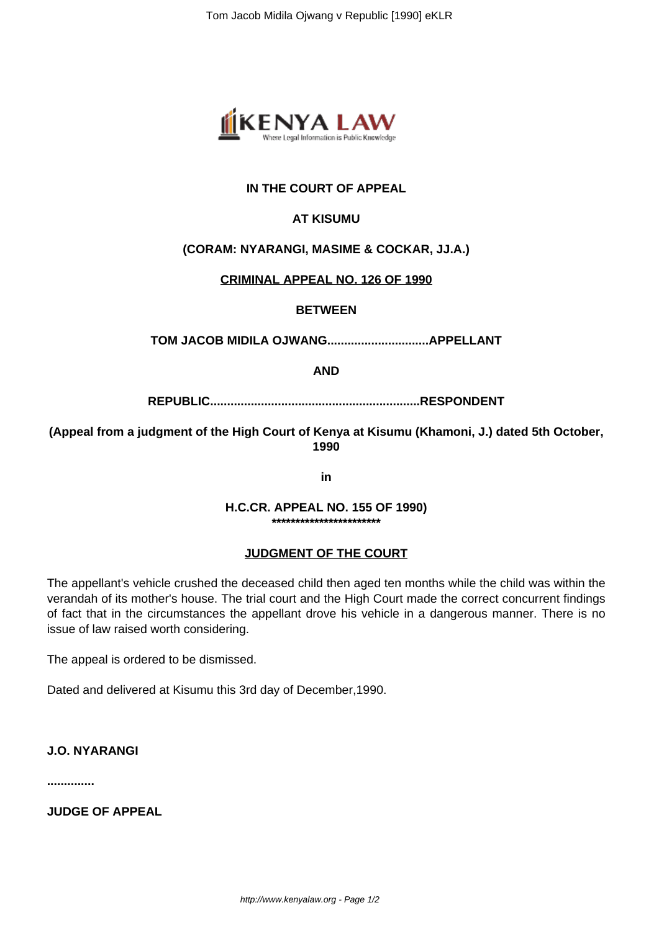

# **IN THE COURT OF APPEAL**

# **AT KISUMU**

## **(CORAM: NYARANGI, MASIME & COCKAR, JJ.A.)**

#### **CRIMINAL APPEAL NO. 126 OF 1990**

#### **BETWEEN**

**TOM JACOB MIDILA OJWANG..............................APPELLANT**

**AND**

**REPUBLIC..............................................................RESPONDENT**

**(Appeal from a judgment of the High Court of Kenya at Kisumu (Khamoni, J.) dated 5th October, 1990**

**in**

**H.C.CR. APPEAL NO. 155 OF 1990) \*\*\*\*\*\*\*\*\*\*\*\*\*\*\*\*\*\*\*\*\*\*\***

#### **JUDGMENT OF THE COURT**

The appellant's vehicle crushed the deceased child then aged ten months while the child was within the verandah of its mother's house. The trial court and the High Court made the correct concurrent findings of fact that in the circumstances the appellant drove his vehicle in a dangerous manner. There is no issue of law raised worth considering.

The appeal is ordered to be dismissed.

Dated and delivered at Kisumu this 3rd day of December,1990.

#### **J.O. NYARANGI**

**..............**

**JUDGE OF APPEAL**